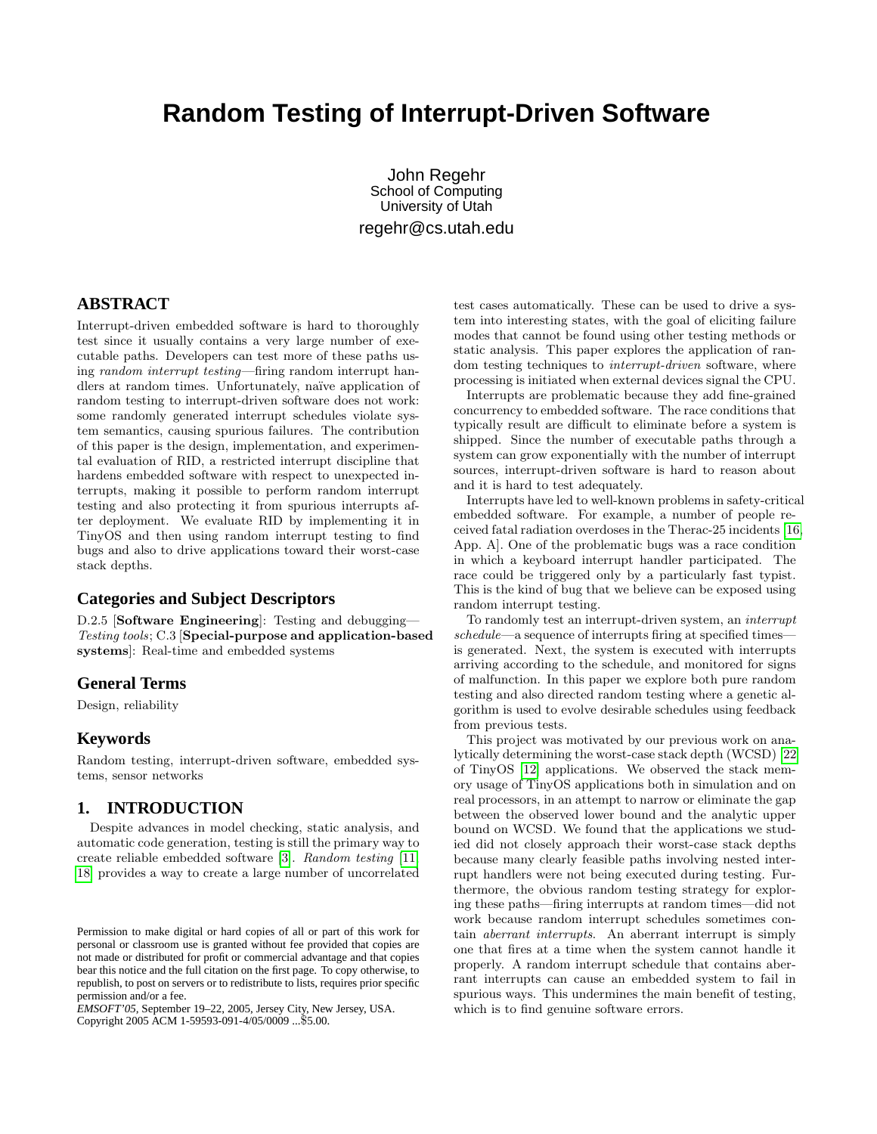# **Random Testing of Interrupt-Driven Software**

John Regehr School of Computing University of Utah regehr@cs.utah.edu

# **ABSTRACT**

Interrupt-driven embedded software is hard to thoroughly test since it usually contains a very large number of executable paths. Developers can test more of these paths using random interrupt testing—firing random interrupt handlers at random times. Unfortunately, na¨ıve application of random testing to interrupt-driven software does not work: some randomly generated interrupt schedules violate system semantics, causing spurious failures. The contribution of this paper is the design, implementation, and experimental evaluation of RID, a restricted interrupt discipline that hardens embedded software with respect to unexpected interrupts, making it possible to perform random interrupt testing and also protecting it from spurious interrupts after deployment. We evaluate RID by implementing it in TinyOS and then using random interrupt testing to find bugs and also to drive applications toward their worst-case stack depths.

# **Categories and Subject Descriptors**

D.2.5 [Software Engineering]: Testing and debugging-Testing tools; C.3 [Special-purpose and application-based systems]: Real-time and embedded systems

# **General Terms**

Design, reliability

# **Keywords**

Random testing, interrupt-driven software, embedded systems, sensor networks

### **1. INTRODUCTION**

Despite advances in model checking, static analysis, and automatic code generation, testing is still the primary way to create reliable embedded software [\[3\]](#page-8-0). Random testing [\[11,](#page-8-1) [18\]](#page-8-2) provides a way to create a large number of uncorrelated

*EMSOFT'05,* September 19–22, 2005, Jersey City, New Jersey, USA. Copyright 2005 ACM 1-59593-091-4/05/0009 ...\$5.00.

test cases automatically. These can be used to drive a system into interesting states, with the goal of eliciting failure modes that cannot be found using other testing methods or static analysis. This paper explores the application of random testing techniques to *interrupt-driven* software, where processing is initiated when external devices signal the CPU.

Interrupts are problematic because they add fine-grained concurrency to embedded software. The race conditions that typically result are difficult to eliminate before a system is shipped. Since the number of executable paths through a system can grow exponentially with the number of interrupt sources, interrupt-driven software is hard to reason about and it is hard to test adequately.

Interrupts have led to well-known problems in safety-critical embedded software. For example, a number of people received fatal radiation overdoses in the Therac-25 incidents [\[16,](#page-8-3) App. A]. One of the problematic bugs was a race condition in which a keyboard interrupt handler participated. The race could be triggered only by a particularly fast typist. This is the kind of bug that we believe can be exposed using random interrupt testing.

To randomly test an interrupt-driven system, an interrupt schedule—a sequence of interrupts firing at specified times is generated. Next, the system is executed with interrupts arriving according to the schedule, and monitored for signs of malfunction. In this paper we explore both pure random testing and also directed random testing where a genetic algorithm is used to evolve desirable schedules using feedback from previous tests.

This project was motivated by our previous work on analytically determining the worst-case stack depth (WCSD) [\[22\]](#page-8-4) of TinyOS [\[12\]](#page-8-5) applications. We observed the stack memory usage of TinyOS applications both in simulation and on real processors, in an attempt to narrow or eliminate the gap between the observed lower bound and the analytic upper bound on WCSD. We found that the applications we studied did not closely approach their worst-case stack depths because many clearly feasible paths involving nested interrupt handlers were not being executed during testing. Furthermore, the obvious random testing strategy for exploring these paths—firing interrupts at random times—did not work because random interrupt schedules sometimes contain aberrant interrupts. An aberrant interrupt is simply one that fires at a time when the system cannot handle it properly. A random interrupt schedule that contains aberrant interrupts can cause an embedded system to fail in spurious ways. This undermines the main benefit of testing, which is to find genuine software errors.

Permission to make digital or hard copies of all or part of this work for personal or classroom use is granted without fee provided that copies are not made or distributed for profit or commercial advantage and that copies bear this notice and the full citation on the first page. To copy otherwise, to republish, to post on servers or to redistribute to lists, requires prior specific permission and/or a fee.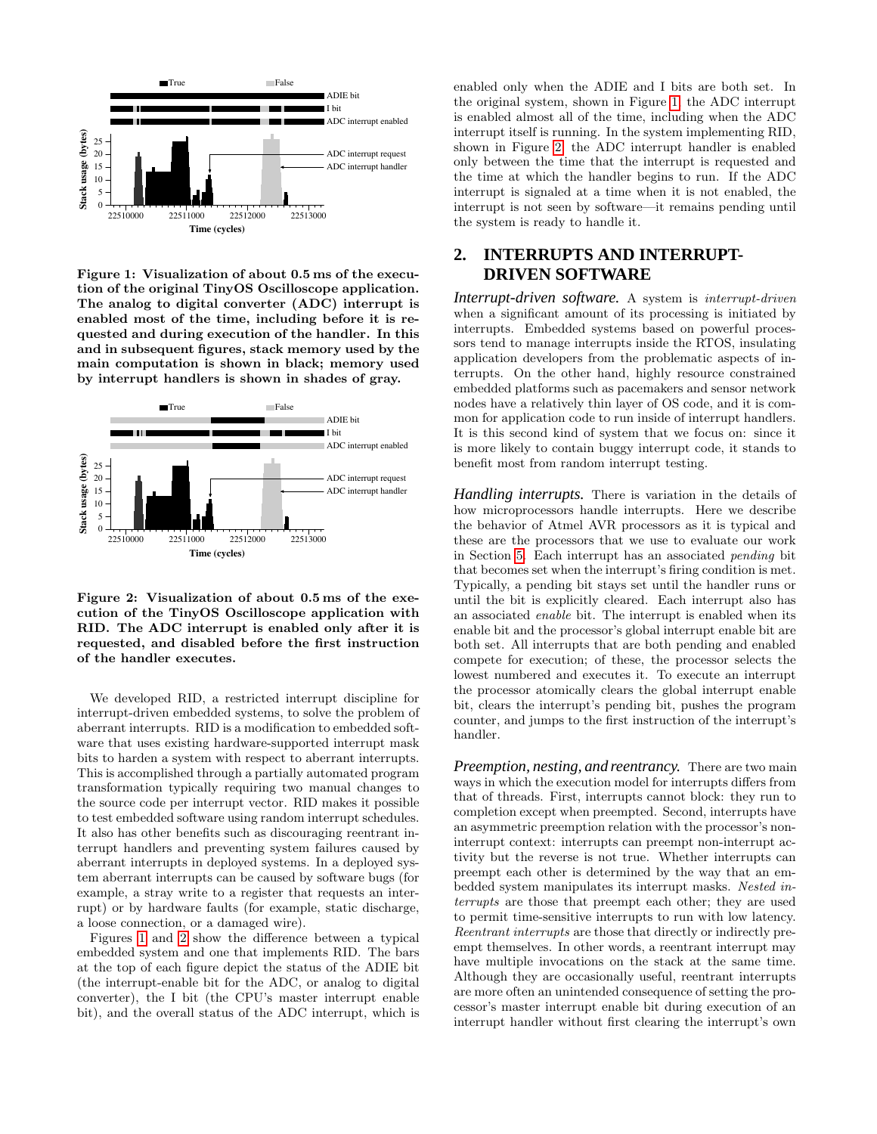

<span id="page-1-0"></span>Figure 1: Visualization of about 0.5 ms of the execution of the original TinyOS Oscilloscope application. The analog to digital converter (ADC) interrupt is enabled most of the time, including before it is requested and during execution of the handler. In this and in subsequent figures, stack memory used by the main computation is shown in black; memory used by interrupt handlers is shown in shades of gray.



<span id="page-1-1"></span>Figure 2: Visualization of about 0.5 ms of the execution of the TinyOS Oscilloscope application with RID. The ADC interrupt is enabled only after it is requested, and disabled before the first instruction of the handler executes.

We developed RID, a restricted interrupt discipline for interrupt-driven embedded systems, to solve the problem of aberrant interrupts. RID is a modification to embedded software that uses existing hardware-supported interrupt mask bits to harden a system with respect to aberrant interrupts. This is accomplished through a partially automated program transformation typically requiring two manual changes to the source code per interrupt vector. RID makes it possible to test embedded software using random interrupt schedules. It also has other benefits such as discouraging reentrant interrupt handlers and preventing system failures caused by aberrant interrupts in deployed systems. In a deployed system aberrant interrupts can be caused by software bugs (for example, a stray write to a register that requests an interrupt) or by hardware faults (for example, static discharge, a loose connection, or a damaged wire).

Figures [1](#page-1-0) and [2](#page-1-1) show the difference between a typical embedded system and one that implements RID. The bars at the top of each figure depict the status of the ADIE bit (the interrupt-enable bit for the ADC, or analog to digital converter), the I bit (the CPU's master interrupt enable bit), and the overall status of the ADC interrupt, which is enabled only when the ADIE and I bits are both set. In the original system, shown in Figure [1,](#page-1-0) the ADC interrupt is enabled almost all of the time, including when the ADC interrupt itself is running. In the system implementing RID, shown in Figure [2,](#page-1-1) the ADC interrupt handler is enabled only between the time that the interrupt is requested and the time at which the handler begins to run. If the ADC interrupt is signaled at a time when it is not enabled, the interrupt is not seen by software—it remains pending until the system is ready to handle it.

# **2. INTERRUPTS AND INTERRUPT-DRIVEN SOFTWARE**

*Interrupt-driven software.* A system is interrupt-driven when a significant amount of its processing is initiated by interrupts. Embedded systems based on powerful processors tend to manage interrupts inside the RTOS, insulating application developers from the problematic aspects of interrupts. On the other hand, highly resource constrained embedded platforms such as pacemakers and sensor network nodes have a relatively thin layer of OS code, and it is common for application code to run inside of interrupt handlers. It is this second kind of system that we focus on: since it is more likely to contain buggy interrupt code, it stands to benefit most from random interrupt testing.

*Handling interrupts.* There is variation in the details of how microprocessors handle interrupts. Here we describe the behavior of Atmel AVR processors as it is typical and these are the processors that we use to evaluate our work in Section [5.](#page-3-0) Each interrupt has an associated pending bit that becomes set when the interrupt's firing condition is met. Typically, a pending bit stays set until the handler runs or until the bit is explicitly cleared. Each interrupt also has an associated enable bit. The interrupt is enabled when its enable bit and the processor's global interrupt enable bit are both set. All interrupts that are both pending and enabled compete for execution; of these, the processor selects the lowest numbered and executes it. To execute an interrupt the processor atomically clears the global interrupt enable bit, clears the interrupt's pending bit, pushes the program counter, and jumps to the first instruction of the interrupt's handler.

*Preemption, nesting, and reentrancy.* There are two main ways in which the execution model for interrupts differs from that of threads. First, interrupts cannot block: they run to completion except when preempted. Second, interrupts have an asymmetric preemption relation with the processor's noninterrupt context: interrupts can preempt non-interrupt activity but the reverse is not true. Whether interrupts can preempt each other is determined by the way that an embedded system manipulates its interrupt masks. Nested interrupts are those that preempt each other; they are used to permit time-sensitive interrupts to run with low latency. Reentrant interrupts are those that directly or indirectly preempt themselves. In other words, a reentrant interrupt may have multiple invocations on the stack at the same time. Although they are occasionally useful, reentrant interrupts are more often an unintended consequence of setting the processor's master interrupt enable bit during execution of an interrupt handler without first clearing the interrupt's own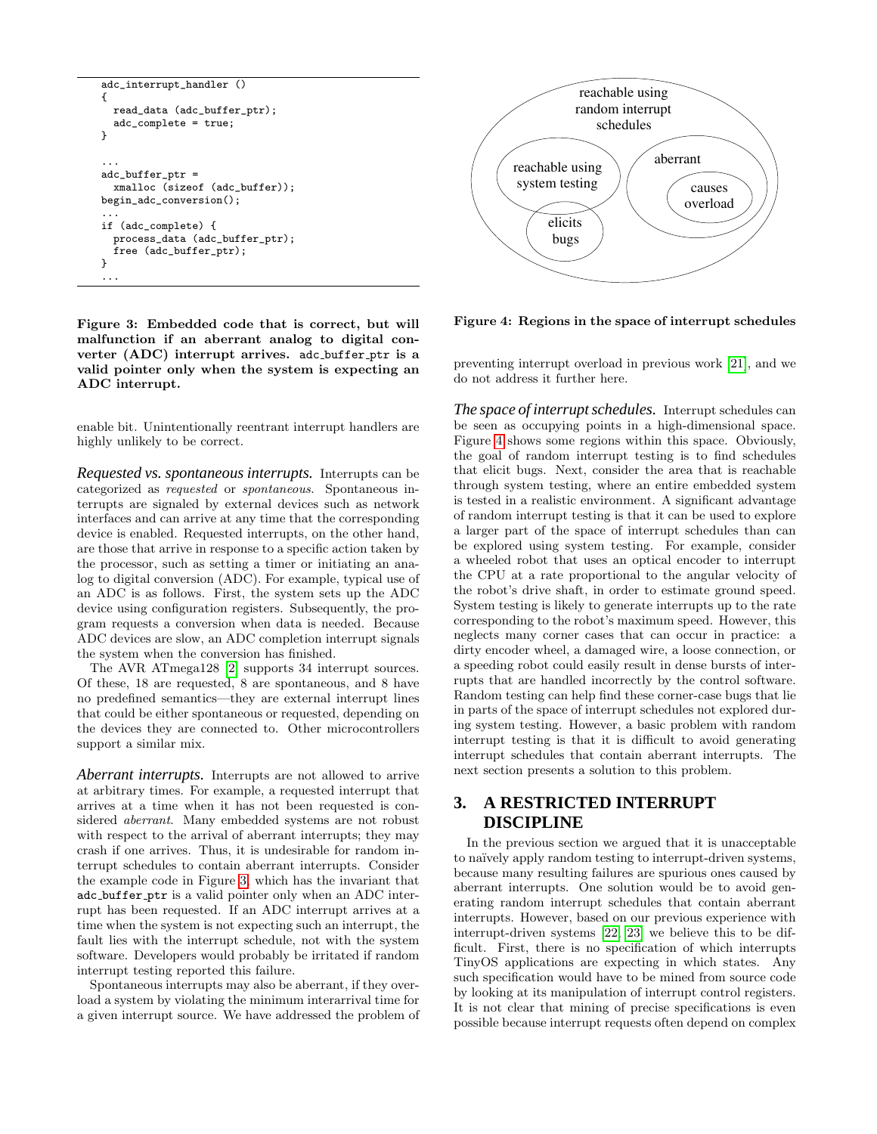```
adc_interrupt_handler ()
{
  read_data (adc_buffer_ptr);
  adc_complete = true;
}
...
adc_buffer_ptr =
  xmalloc (sizeof (adc_buffer));
begin_adc_conversion();
...
if (adc_complete) {
  process_data (adc_buffer_ptr);
  free (adc_buffer_ptr);
}
...
```
<span id="page-2-0"></span>Figure 3: Embedded code that is correct, but will malfunction if an aberrant analog to digital converter (ADC) interrupt arrives. adc buffer ptr is a valid pointer only when the system is expecting an ADC interrupt.

enable bit. Unintentionally reentrant interrupt handlers are highly unlikely to be correct.

*Requested vs. spontaneous interrupts.* Interrupts can be categorized as requested or spontaneous. Spontaneous interrupts are signaled by external devices such as network interfaces and can arrive at any time that the corresponding device is enabled. Requested interrupts, on the other hand, are those that arrive in response to a specific action taken by the processor, such as setting a timer or initiating an analog to digital conversion (ADC). For example, typical use of an ADC is as follows. First, the system sets up the ADC device using configuration registers. Subsequently, the program requests a conversion when data is needed. Because ADC devices are slow, an ADC completion interrupt signals the system when the conversion has finished.

The AVR ATmega128 [\[2\]](#page-8-6) supports 34 interrupt sources. Of these, 18 are requested, 8 are spontaneous, and 8 have no predefined semantics—they are external interrupt lines that could be either spontaneous or requested, depending on the devices they are connected to. Other microcontrollers support a similar mix.

*Aberrant interrupts.* Interrupts are not allowed to arrive at arbitrary times. For example, a requested interrupt that arrives at a time when it has not been requested is considered aberrant. Many embedded systems are not robust with respect to the arrival of aberrant interrupts; they may crash if one arrives. Thus, it is undesirable for random interrupt schedules to contain aberrant interrupts. Consider the example code in Figure [3,](#page-2-0) which has the invariant that adc buffer ptr is a valid pointer only when an ADC interrupt has been requested. If an ADC interrupt arrives at a time when the system is not expecting such an interrupt, the fault lies with the interrupt schedule, not with the system software. Developers would probably be irritated if random interrupt testing reported this failure.

Spontaneous interrupts may also be aberrant, if they overload a system by violating the minimum interarrival time for a given interrupt source. We have addressed the problem of



<span id="page-2-1"></span>Figure 4: Regions in the space of interrupt schedules

preventing interrupt overload in previous work [\[21\]](#page-8-7), and we do not address it further here.

*The space of interrupt schedules.* Interrupt schedules can be seen as occupying points in a high-dimensional space. Figure [4](#page-2-1) shows some regions within this space. Obviously, the goal of random interrupt testing is to find schedules that elicit bugs. Next, consider the area that is reachable through system testing, where an entire embedded system is tested in a realistic environment. A significant advantage of random interrupt testing is that it can be used to explore a larger part of the space of interrupt schedules than can be explored using system testing. For example, consider a wheeled robot that uses an optical encoder to interrupt the CPU at a rate proportional to the angular velocity of the robot's drive shaft, in order to estimate ground speed. System testing is likely to generate interrupts up to the rate corresponding to the robot's maximum speed. However, this neglects many corner cases that can occur in practice: a dirty encoder wheel, a damaged wire, a loose connection, or a speeding robot could easily result in dense bursts of interrupts that are handled incorrectly by the control software. Random testing can help find these corner-case bugs that lie in parts of the space of interrupt schedules not explored during system testing. However, a basic problem with random interrupt testing is that it is difficult to avoid generating interrupt schedules that contain aberrant interrupts. The next section presents a solution to this problem.

# **3. A RESTRICTED INTERRUPT DISCIPLINE**

In the previous section we argued that it is unacceptable to naïvely apply random testing to interrupt-driven systems, because many resulting failures are spurious ones caused by aberrant interrupts. One solution would be to avoid generating random interrupt schedules that contain aberrant interrupts. However, based on our previous experience with interrupt-driven systems [\[22,](#page-8-4) [23\]](#page-8-8) we believe this to be difficult. First, there is no specification of which interrupts TinyOS applications are expecting in which states. Any such specification would have to be mined from source code by looking at its manipulation of interrupt control registers. It is not clear that mining of precise specifications is even possible because interrupt requests often depend on complex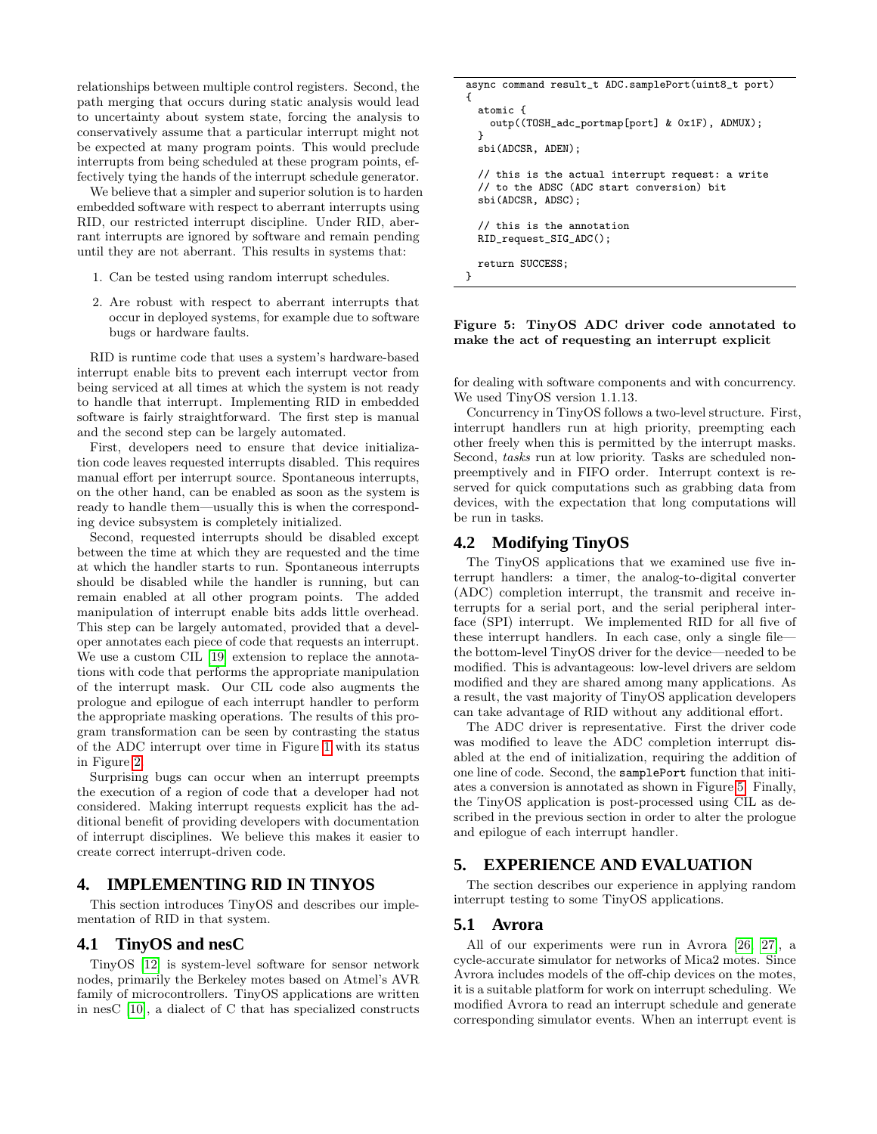relationships between multiple control registers. Second, the path merging that occurs during static analysis would lead to uncertainty about system state, forcing the analysis to conservatively assume that a particular interrupt might not be expected at many program points. This would preclude interrupts from being scheduled at these program points, effectively tying the hands of the interrupt schedule generator.

We believe that a simpler and superior solution is to harden embedded software with respect to aberrant interrupts using RID, our restricted interrupt discipline. Under RID, aberrant interrupts are ignored by software and remain pending until they are not aberrant. This results in systems that:

- 1. Can be tested using random interrupt schedules.
- 2. Are robust with respect to aberrant interrupts that occur in deployed systems, for example due to software bugs or hardware faults.

RID is runtime code that uses a system's hardware-based interrupt enable bits to prevent each interrupt vector from being serviced at all times at which the system is not ready to handle that interrupt. Implementing RID in embedded software is fairly straightforward. The first step is manual and the second step can be largely automated.

First, developers need to ensure that device initialization code leaves requested interrupts disabled. This requires manual effort per interrupt source. Spontaneous interrupts, on the other hand, can be enabled as soon as the system is ready to handle them—usually this is when the corresponding device subsystem is completely initialized.

Second, requested interrupts should be disabled except between the time at which they are requested and the time at which the handler starts to run. Spontaneous interrupts should be disabled while the handler is running, but can remain enabled at all other program points. The added manipulation of interrupt enable bits adds little overhead. This step can be largely automated, provided that a developer annotates each piece of code that requests an interrupt. We use a custom CIL [\[19\]](#page-8-9) extension to replace the annotations with code that performs the appropriate manipulation of the interrupt mask. Our CIL code also augments the prologue and epilogue of each interrupt handler to perform the appropriate masking operations. The results of this program transformation can be seen by contrasting the status of the ADC interrupt over time in Figure [1](#page-1-0) with its status in Figure [2.](#page-1-1)

Surprising bugs can occur when an interrupt preempts the execution of a region of code that a developer had not considered. Making interrupt requests explicit has the additional benefit of providing developers with documentation of interrupt disciplines. We believe this makes it easier to create correct interrupt-driven code.

# **4. IMPLEMENTING RID IN TINYOS**

This section introduces TinyOS and describes our implementation of RID in that system.

# **4.1 TinyOS and nesC**

TinyOS [\[12\]](#page-8-5) is system-level software for sensor network nodes, primarily the Berkeley motes based on Atmel's AVR family of microcontrollers. TinyOS applications are written in nesC [\[10\]](#page-8-10), a dialect of C that has specialized constructs

```
async command result_t ADC.samplePort(uint8_t port)
{
  atomic {
    outp((TOSH_adc_portmap[port] & 0x1F), ADMUX);
  }
  sbi(ADCSR, ADEN);
  // this is the actual interrupt request: a write
  // to the ADSC (ADC start conversion) bit
  sbi(ADCSR, ADSC);
  // this is the annotation
  RID_request_SIG_ADC();
  return SUCCESS;
}
```
#### <span id="page-3-1"></span>Figure 5: TinyOS ADC driver code annotated to make the act of requesting an interrupt explicit

for dealing with software components and with concurrency. We used TinyOS version 1.1.13.

Concurrency in TinyOS follows a two-level structure. First, interrupt handlers run at high priority, preempting each other freely when this is permitted by the interrupt masks. Second, tasks run at low priority. Tasks are scheduled nonpreemptively and in FIFO order. Interrupt context is reserved for quick computations such as grabbing data from devices, with the expectation that long computations will be run in tasks.

# **4.2 Modifying TinyOS**

The TinyOS applications that we examined use five interrupt handlers: a timer, the analog-to-digital converter (ADC) completion interrupt, the transmit and receive interrupts for a serial port, and the serial peripheral interface (SPI) interrupt. We implemented RID for all five of these interrupt handlers. In each case, only a single file the bottom-level TinyOS driver for the device—needed to be modified. This is advantageous: low-level drivers are seldom modified and they are shared among many applications. As a result, the vast majority of TinyOS application developers can take advantage of RID without any additional effort.

The ADC driver is representative. First the driver code was modified to leave the ADC completion interrupt disabled at the end of initialization, requiring the addition of one line of code. Second, the samplePort function that initiates a conversion is annotated as shown in Figure [5.](#page-3-1) Finally, the TinyOS application is post-processed using CIL as described in the previous section in order to alter the prologue and epilogue of each interrupt handler.

# <span id="page-3-0"></span>**5. EXPERIENCE AND EVALUATION**

The section describes our experience in applying random interrupt testing to some TinyOS applications.

#### **5.1 Avrora**

All of our experiments were run in Avrora [\[26,](#page-8-11) [27\]](#page-8-12), a cycle-accurate simulator for networks of Mica2 motes. Since Avrora includes models of the off-chip devices on the motes, it is a suitable platform for work on interrupt scheduling. We modified Avrora to read an interrupt schedule and generate corresponding simulator events. When an interrupt event is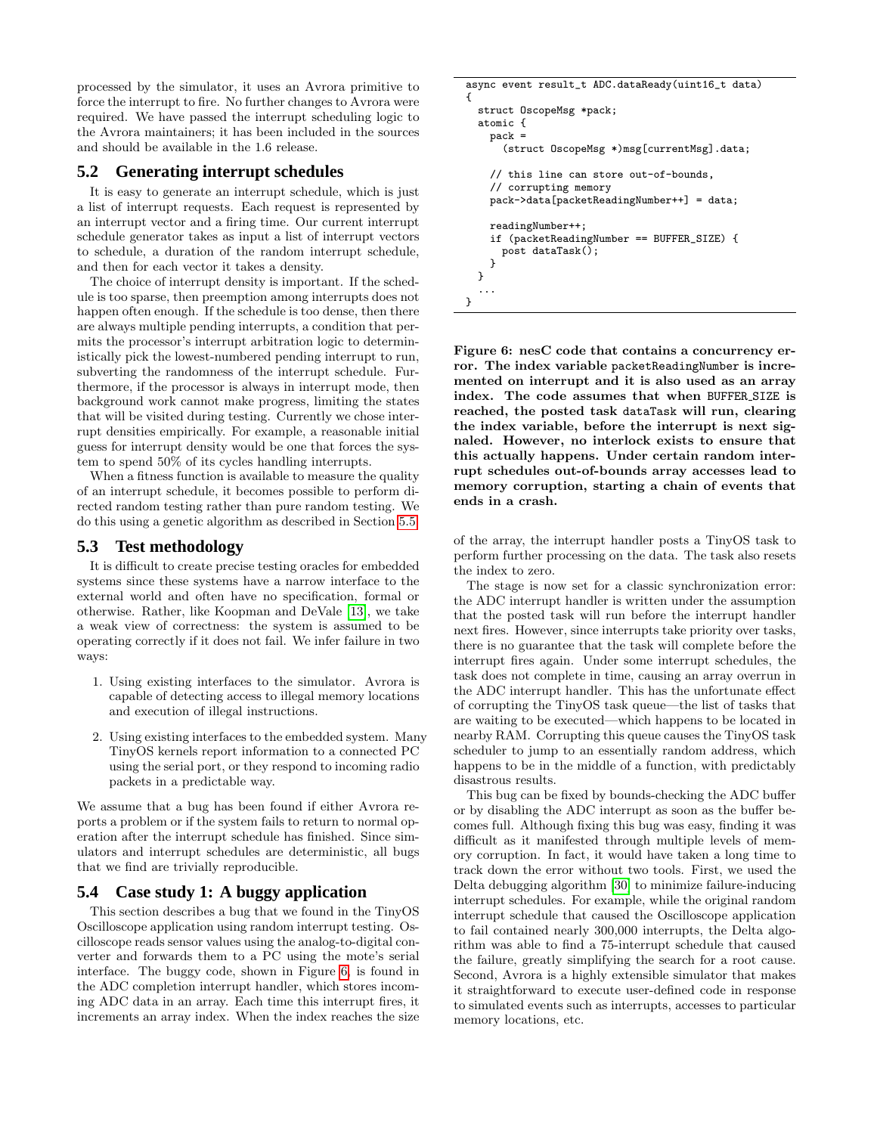processed by the simulator, it uses an Avrora primitive to force the interrupt to fire. No further changes to Avrora were required. We have passed the interrupt scheduling logic to the Avrora maintainers; it has been included in the sources and should be available in the 1.6 release.

# **5.2 Generating interrupt schedules**

It is easy to generate an interrupt schedule, which is just a list of interrupt requests. Each request is represented by an interrupt vector and a firing time. Our current interrupt schedule generator takes as input a list of interrupt vectors to schedule, a duration of the random interrupt schedule, and then for each vector it takes a density.

The choice of interrupt density is important. If the schedule is too sparse, then preemption among interrupts does not happen often enough. If the schedule is too dense, then there are always multiple pending interrupts, a condition that permits the processor's interrupt arbitration logic to deterministically pick the lowest-numbered pending interrupt to run, subverting the randomness of the interrupt schedule. Furthermore, if the processor is always in interrupt mode, then background work cannot make progress, limiting the states that will be visited during testing. Currently we chose interrupt densities empirically. For example, a reasonable initial guess for interrupt density would be one that forces the system to spend 50% of its cycles handling interrupts.

When a fitness function is available to measure the quality of an interrupt schedule, it becomes possible to perform directed random testing rather than pure random testing. We do this using a genetic algorithm as described in Section [5.5.](#page-5-0)

# **5.3 Test methodology**

It is difficult to create precise testing oracles for embedded systems since these systems have a narrow interface to the external world and often have no specification, formal or otherwise. Rather, like Koopman and DeVale [\[13\]](#page-8-13), we take a weak view of correctness: the system is assumed to be operating correctly if it does not fail. We infer failure in two ways:

- 1. Using existing interfaces to the simulator. Avrora is capable of detecting access to illegal memory locations and execution of illegal instructions.
- 2. Using existing interfaces to the embedded system. Many TinyOS kernels report information to a connected PC using the serial port, or they respond to incoming radio packets in a predictable way.

We assume that a bug has been found if either Avrora reports a problem or if the system fails to return to normal operation after the interrupt schedule has finished. Since simulators and interrupt schedules are deterministic, all bugs that we find are trivially reproducible.

# **5.4 Case study 1: A buggy application**

This section describes a bug that we found in the TinyOS Oscilloscope application using random interrupt testing. Oscilloscope reads sensor values using the analog-to-digital converter and forwards them to a PC using the mote's serial interface. The buggy code, shown in Figure [6,](#page-4-0) is found in the ADC completion interrupt handler, which stores incoming ADC data in an array. Each time this interrupt fires, it increments an array index. When the index reaches the size

```
async event result_t ADC.dataReady(uint16_t data)
{
  struct OscopeMsg *pack;
  atomic {
    pack =
      (struct OscopeMsg *)msg[currentMsg].data;
    // this line can store out-of-bounds,
    // corrupting memory
    pack->data[packetReadingNumber++] = data;
    readingNumber++;
    if (packetReadingNumber == BUFFER_SIZE) {
      post dataTask();
    }
  }
  ...
}
```
<span id="page-4-0"></span>Figure 6: nesC code that contains a concurrency error. The index variable packetReadingNumber is incremented on interrupt and it is also used as an array index. The code assumes that when BUFFER SIZE is reached, the posted task dataTask will run, clearing the index variable, before the interrupt is next signaled. However, no interlock exists to ensure that this actually happens. Under certain random interrupt schedules out-of-bounds array accesses lead to memory corruption, starting a chain of events that ends in a crash.

of the array, the interrupt handler posts a TinyOS task to perform further processing on the data. The task also resets the index to zero.

The stage is now set for a classic synchronization error: the ADC interrupt handler is written under the assumption that the posted task will run before the interrupt handler next fires. However, since interrupts take priority over tasks, there is no guarantee that the task will complete before the interrupt fires again. Under some interrupt schedules, the task does not complete in time, causing an array overrun in the ADC interrupt handler. This has the unfortunate effect of corrupting the TinyOS task queue—the list of tasks that are waiting to be executed—which happens to be located in nearby RAM. Corrupting this queue causes the TinyOS task scheduler to jump to an essentially random address, which happens to be in the middle of a function, with predictably disastrous results.

This bug can be fixed by bounds-checking the ADC buffer or by disabling the ADC interrupt as soon as the buffer becomes full. Although fixing this bug was easy, finding it was difficult as it manifested through multiple levels of memory corruption. In fact, it would have taken a long time to track down the error without two tools. First, we used the Delta debugging algorithm [\[30\]](#page-8-14) to minimize failure-inducing interrupt schedules. For example, while the original random interrupt schedule that caused the Oscilloscope application to fail contained nearly 300,000 interrupts, the Delta algorithm was able to find a 75-interrupt schedule that caused the failure, greatly simplifying the search for a root cause. Second, Avrora is a highly extensible simulator that makes it straightforward to execute user-defined code in response to simulated events such as interrupts, accesses to particular memory locations, etc.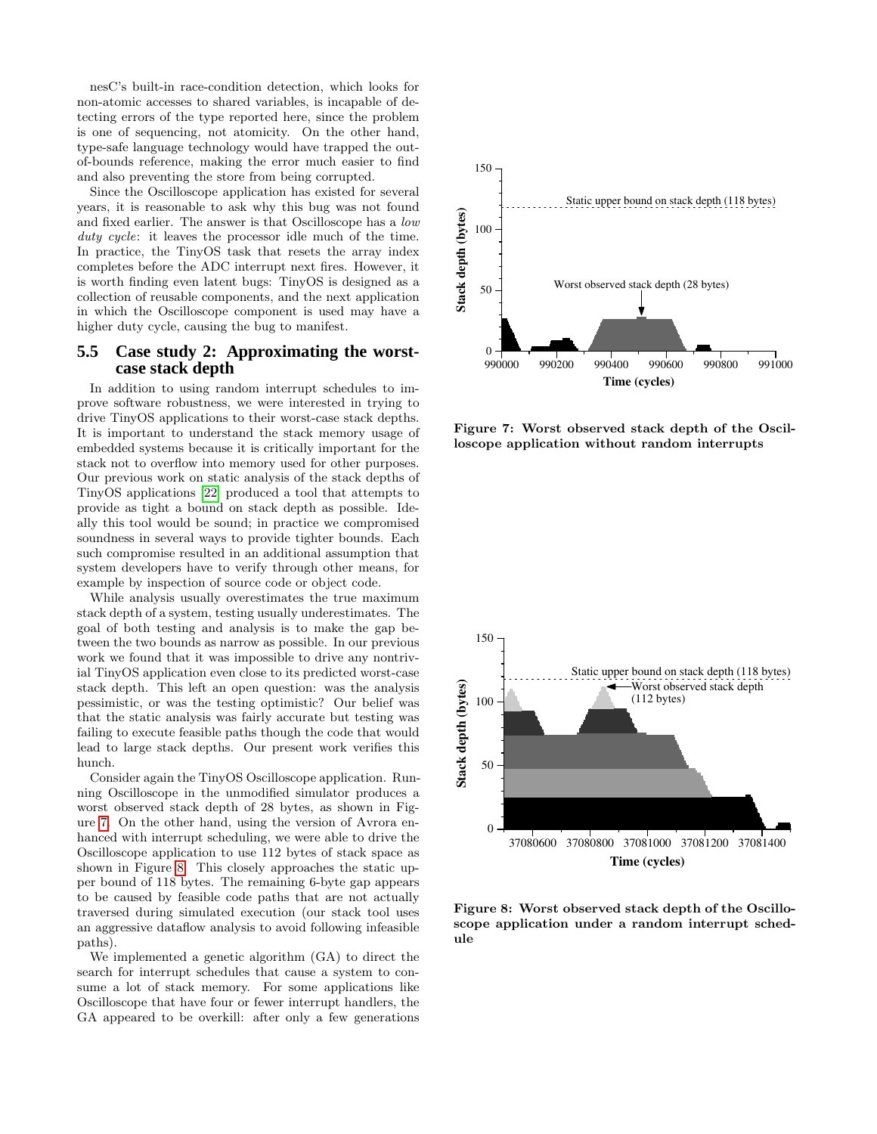nesC's built-in race-condition detection, which looks for non-atomic accesses to shared variables, is incapable of detecting errors of the type reported here, since the problem is one of sequencing, not atomicity. On the other hand, type-safe language technology would have trapped the outof-bounds reference, making the error much easier to find and also preventing the store from being corrupted.

Since the Oscilloscope application has existed for several years, it is reasonable to ask why this bug was not found and fixed earlier. The answer is that Oscilloscope has a low duty cycle: it leaves the processor idle much of the time. In practice, the TinyOS task that resets the array index completes before the ADC interrupt next fires. However, it is worth finding even latent bugs: TinyOS is designed as a collection of reusable components, and the next application in which the Oscilloscope component is used may have a higher duty cycle, causing the bug to manifest.

### <span id="page-5-0"></span>**5.5 Case study 2: Approximating the worstcase stack depth**

In addition to using random interrupt schedules to improve software robustness, we were interested in trying to drive TinyOS applications to their worst-case stack depths. It is important to understand the stack memory usage of embedded systems because it is critically important for the stack not to overflow into memory used for other purposes. Our previous work on static analysis of the stack depths of TinyOS applications [\[22\]](#page-8-4) produced a tool that attempts to provide as tight a bound on stack depth as possible. Ideally this tool would be sound; in practice we compromised soundness in several ways to provide tighter bounds. Each such compromise resulted in an additional assumption that system developers have to verify through other means, for example by inspection of source code or object code.

While analysis usually overestimates the true maximum stack depth of a system, testing usually underestimates. The goal of both testing and analysis is to make the gap between the two bounds as narrow as possible. In our previous work we found that it was impossible to drive any nontrivial TinyOS application even close to its predicted worst-case stack depth. This left an open question: was the analysis pessimistic, or was the testing optimistic? Our belief was that the static analysis was fairly accurate but testing was failing to execute feasible paths though the code that would lead to large stack depths. Our present work verifies this hunch.

Consider again the TinyOS Oscilloscope application. Running Oscilloscope in the unmodified simulator produces a worst observed stack depth of 28 bytes, as shown in Figure [7.](#page-5-1) On the other hand, using the version of Avrora enhanced with interrupt scheduling, we were able to drive the Oscilloscope application to use 112 bytes of stack space as shown in Figure [8.](#page-5-2) This closely approaches the static upper bound of 118 bytes. The remaining 6-byte gap appears to be caused by feasible code paths that are not actually traversed during simulated execution (our stack tool uses an aggressive dataflow analysis to avoid following infeasible paths).

We implemented a genetic algorithm (GA) to direct the search for interrupt schedules that cause a system to consume a lot of stack memory. For some applications like Oscilloscope that have four or fewer interrupt handlers, the GA appeared to be overkill: after only a few generations



<span id="page-5-1"></span>Figure 7: Worst observed stack depth of the Oscilloscope application without random interrupts



<span id="page-5-2"></span>Figure 8: Worst observed stack depth of the Oscilloscope application under a random interrupt schedule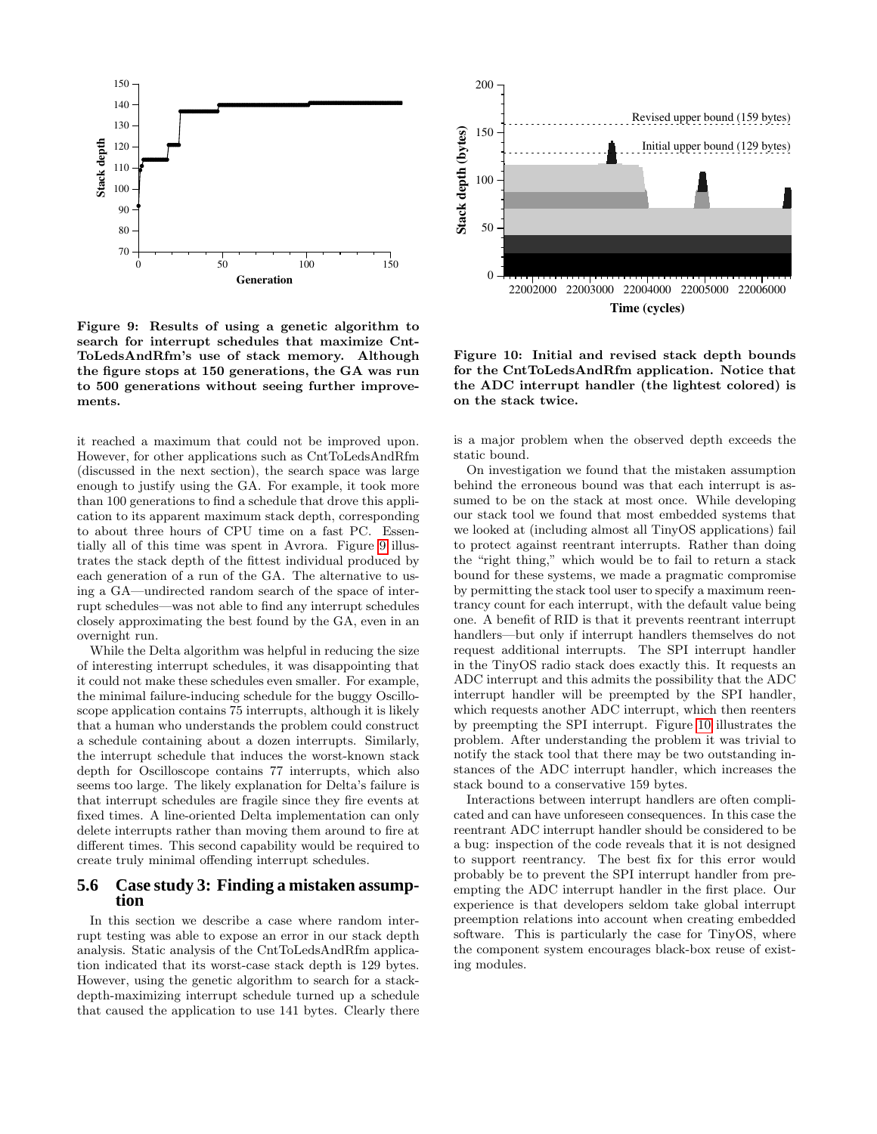

<span id="page-6-0"></span>Figure 9: Results of using a genetic algorithm to search for interrupt schedules that maximize Cnt-ToLedsAndRfm's use of stack memory. Although the figure stops at 150 generations, the GA was run to 500 generations without seeing further improvements.

it reached a maximum that could not be improved upon. However, for other applications such as CntToLedsAndRfm (discussed in the next section), the search space was large enough to justify using the GA. For example, it took more than 100 generations to find a schedule that drove this application to its apparent maximum stack depth, corresponding to about three hours of CPU time on a fast PC. Essentially all of this time was spent in Avrora. Figure [9](#page-6-0) illustrates the stack depth of the fittest individual produced by each generation of a run of the GA. The alternative to using a GA—undirected random search of the space of interrupt schedules—was not able to find any interrupt schedules closely approximating the best found by the GA, even in an overnight run.

While the Delta algorithm was helpful in reducing the size of interesting interrupt schedules, it was disappointing that it could not make these schedules even smaller. For example, the minimal failure-inducing schedule for the buggy Oscilloscope application contains 75 interrupts, although it is likely that a human who understands the problem could construct a schedule containing about a dozen interrupts. Similarly, the interrupt schedule that induces the worst-known stack depth for Oscilloscope contains 77 interrupts, which also seems too large. The likely explanation for Delta's failure is that interrupt schedules are fragile since they fire events at fixed times. A line-oriented Delta implementation can only delete interrupts rather than moving them around to fire at different times. This second capability would be required to create truly minimal offending interrupt schedules.

# **5.6 Case study 3: Finding a mistaken assumption**

In this section we describe a case where random interrupt testing was able to expose an error in our stack depth analysis. Static analysis of the CntToLedsAndRfm application indicated that its worst-case stack depth is 129 bytes. However, using the genetic algorithm to search for a stackdepth-maximizing interrupt schedule turned up a schedule that caused the application to use 141 bytes. Clearly there



<span id="page-6-1"></span>Figure 10: Initial and revised stack depth bounds for the CntToLedsAndRfm application. Notice that the ADC interrupt handler (the lightest colored) is on the stack twice.

is a major problem when the observed depth exceeds the static bound.

On investigation we found that the mistaken assumption behind the erroneous bound was that each interrupt is assumed to be on the stack at most once. While developing our stack tool we found that most embedded systems that we looked at (including almost all TinyOS applications) fail to protect against reentrant interrupts. Rather than doing the "right thing," which would be to fail to return a stack bound for these systems, we made a pragmatic compromise by permitting the stack tool user to specify a maximum reentrancy count for each interrupt, with the default value being one. A benefit of RID is that it prevents reentrant interrupt handlers—but only if interrupt handlers themselves do not request additional interrupts. The SPI interrupt handler in the TinyOS radio stack does exactly this. It requests an ADC interrupt and this admits the possibility that the ADC interrupt handler will be preempted by the SPI handler, which requests another ADC interrupt, which then reenters by preempting the SPI interrupt. Figure [10](#page-6-1) illustrates the problem. After understanding the problem it was trivial to notify the stack tool that there may be two outstanding instances of the ADC interrupt handler, which increases the stack bound to a conservative 159 bytes.

Interactions between interrupt handlers are often complicated and can have unforeseen consequences. In this case the reentrant ADC interrupt handler should be considered to be a bug: inspection of the code reveals that it is not designed to support reentrancy. The best fix for this error would probably be to prevent the SPI interrupt handler from preempting the ADC interrupt handler in the first place. Our experience is that developers seldom take global interrupt preemption relations into account when creating embedded software. This is particularly the case for TinyOS, where the component system encourages black-box reuse of existing modules.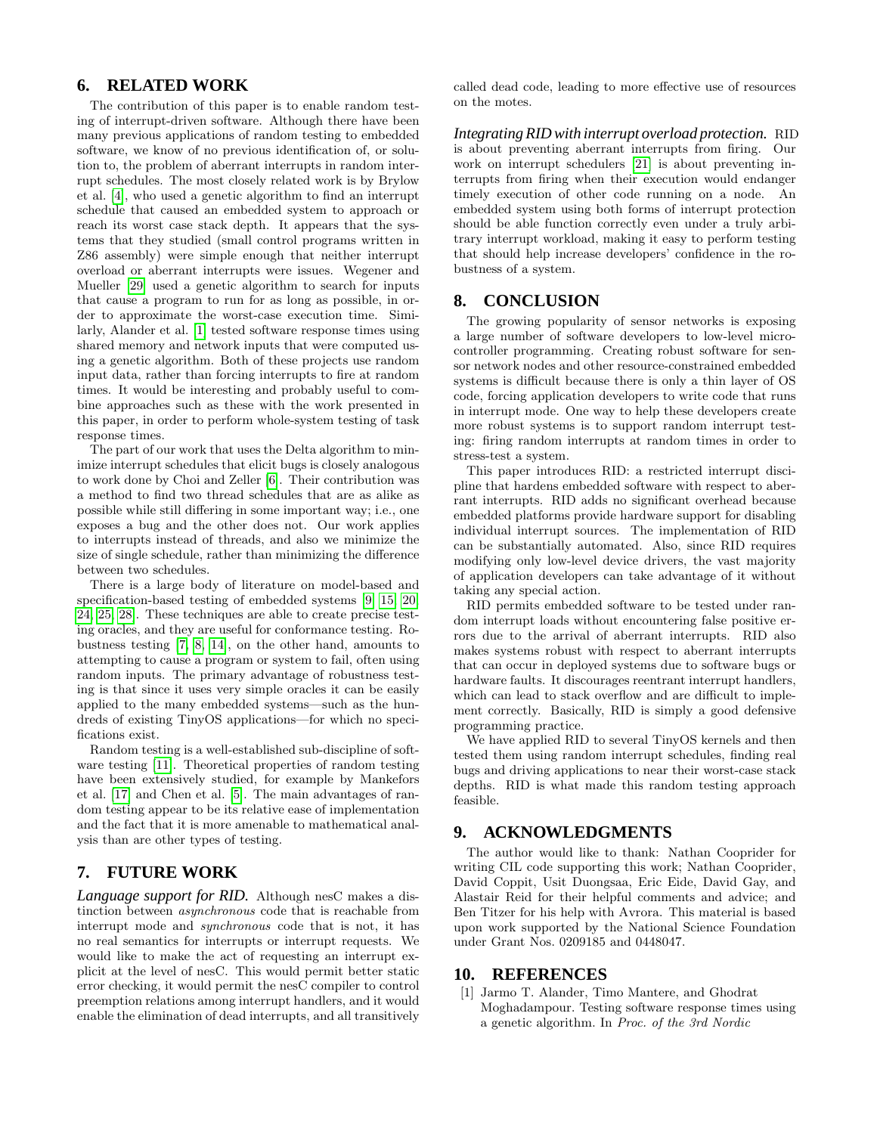# **6. RELATED WORK**

The contribution of this paper is to enable random testing of interrupt-driven software. Although there have been many previous applications of random testing to embedded software, we know of no previous identification of, or solution to, the problem of aberrant interrupts in random interrupt schedules. The most closely related work is by Brylow et al. [\[4\]](#page-8-15), who used a genetic algorithm to find an interrupt schedule that caused an embedded system to approach or reach its worst case stack depth. It appears that the systems that they studied (small control programs written in Z86 assembly) were simple enough that neither interrupt overload or aberrant interrupts were issues. Wegener and Mueller [\[29\]](#page-8-16) used a genetic algorithm to search for inputs that cause a program to run for as long as possible, in order to approximate the worst-case execution time. Similarly, Alander et al. [\[1\]](#page-7-0) tested software response times using shared memory and network inputs that were computed using a genetic algorithm. Both of these projects use random input data, rather than forcing interrupts to fire at random times. It would be interesting and probably useful to combine approaches such as these with the work presented in this paper, in order to perform whole-system testing of task response times.

The part of our work that uses the Delta algorithm to minimize interrupt schedules that elicit bugs is closely analogous to work done by Choi and Zeller [\[6\]](#page-8-17). Their contribution was a method to find two thread schedules that are as alike as possible while still differing in some important way; i.e., one exposes a bug and the other does not. Our work applies to interrupts instead of threads, and also we minimize the size of single schedule, rather than minimizing the difference between two schedules.

There is a large body of literature on model-based and specification-based testing of embedded systems [\[9,](#page-8-18) [15,](#page-8-19) [20,](#page-8-20) [24,](#page-8-21) [25,](#page-8-22) [28\]](#page-8-23). These techniques are able to create precise testing oracles, and they are useful for conformance testing. Robustness testing [\[7,](#page-8-24) [8,](#page-8-25) [14\]](#page-8-26), on the other hand, amounts to attempting to cause a program or system to fail, often using random inputs. The primary advantage of robustness testing is that since it uses very simple oracles it can be easily applied to the many embedded systems—such as the hundreds of existing TinyOS applications—for which no specifications exist.

Random testing is a well-established sub-discipline of software testing [\[11\]](#page-8-1). Theoretical properties of random testing have been extensively studied, for example by Mankefors et al. [\[17\]](#page-8-27) and Chen et al. [\[5\]](#page-8-28). The main advantages of random testing appear to be its relative ease of implementation and the fact that it is more amenable to mathematical analysis than are other types of testing.

# **7. FUTURE WORK**

*Language support for RID.* Although nesC makes a distinction between asynchronous code that is reachable from interrupt mode and synchronous code that is not, it has no real semantics for interrupts or interrupt requests. We would like to make the act of requesting an interrupt explicit at the level of nesC. This would permit better static error checking, it would permit the nesC compiler to control preemption relations among interrupt handlers, and it would enable the elimination of dead interrupts, and all transitively

called dead code, leading to more effective use of resources on the motes.

*Integrating RID with interrupt overload protection.* RID is about preventing aberrant interrupts from firing. Our work on interrupt schedulers [\[21\]](#page-8-7) is about preventing interrupts from firing when their execution would endanger timely execution of other code running on a node. An embedded system using both forms of interrupt protection should be able function correctly even under a truly arbitrary interrupt workload, making it easy to perform testing that should help increase developers' confidence in the robustness of a system.

# **8. CONCLUSION**

The growing popularity of sensor networks is exposing a large number of software developers to low-level microcontroller programming. Creating robust software for sensor network nodes and other resource-constrained embedded systems is difficult because there is only a thin layer of OS code, forcing application developers to write code that runs in interrupt mode. One way to help these developers create more robust systems is to support random interrupt testing: firing random interrupts at random times in order to stress-test a system.

This paper introduces RID: a restricted interrupt discipline that hardens embedded software with respect to aberrant interrupts. RID adds no significant overhead because embedded platforms provide hardware support for disabling individual interrupt sources. The implementation of RID can be substantially automated. Also, since RID requires modifying only low-level device drivers, the vast majority of application developers can take advantage of it without taking any special action.

RID permits embedded software to be tested under random interrupt loads without encountering false positive errors due to the arrival of aberrant interrupts. RID also makes systems robust with respect to aberrant interrupts that can occur in deployed systems due to software bugs or hardware faults. It discourages reentrant interrupt handlers, which can lead to stack overflow and are difficult to implement correctly. Basically, RID is simply a good defensive programming practice.

We have applied RID to several TinyOS kernels and then tested them using random interrupt schedules, finding real bugs and driving applications to near their worst-case stack depths. RID is what made this random testing approach feasible.

# **9. ACKNOWLEDGMENTS**

The author would like to thank: Nathan Cooprider for writing CIL code supporting this work; Nathan Cooprider, David Coppit, Usit Duongsaa, Eric Eide, David Gay, and Alastair Reid for their helpful comments and advice; and Ben Titzer for his help with Avrora. This material is based upon work supported by the National Science Foundation under Grant Nos. 0209185 and 0448047.

### **10. REFERENCES**

<span id="page-7-0"></span>[1] Jarmo T. Alander, Timo Mantere, and Ghodrat Moghadampour. Testing software response times using a genetic algorithm. In Proc. of the 3rd Nordic